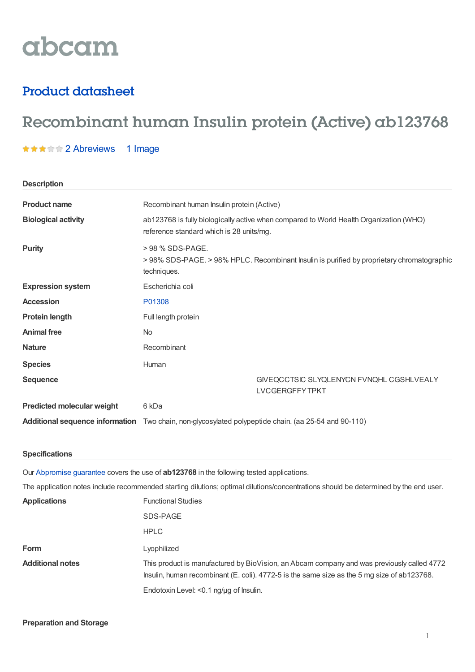# abcam

### Product datasheet

## Recombinant human Insulin protein (Active) ab123768

**★★★★☆ 2 [Abreviews](https://www.abcam.com/recombinant-human-insulin-protein-active-ab123768.html?productWallTab=Abreviews) 1 Image** 

| <b>Description</b>                     |                                                                                                                                    |
|----------------------------------------|------------------------------------------------------------------------------------------------------------------------------------|
| <b>Product name</b>                    | Recombinant human Insulin protein (Active)                                                                                         |
| <b>Biological activity</b>             | ab123768 is fully biologically active when compared to World Health Organization (WHO)<br>reference standard which is 28 units/mg. |
| <b>Purity</b>                          | > 98 % SDS-PAGE.<br>>98% SDS-PAGE. >98% HPLC. Recombinant Insulin is purified by proprietary chromatographic<br>techniques.        |
| <b>Expression system</b>               | Escherichia coli                                                                                                                   |
| <b>Accession</b>                       | P01308                                                                                                                             |
| <b>Protein length</b>                  | Full length protein                                                                                                                |
| <b>Animal free</b>                     | <b>No</b>                                                                                                                          |
| <b>Nature</b>                          | Recombinant                                                                                                                        |
| <b>Species</b>                         | Human                                                                                                                              |
| <b>Sequence</b>                        | GIVEQCCTSIC SLYQLENYCN FVNQHL CGSHLVEALY<br><b>LVCGERGFFYTPKT</b>                                                                  |
| <b>Predicted molecular weight</b>      | 6 kDa                                                                                                                              |
| <b>Additional sequence information</b> | Two chain, non-glycosylated polypeptide chain. (aa 25-54 and 90-110)                                                               |

#### **Specifications**

Our [Abpromise](https://www.abcam.com/abpromise) guarantee covers the use of **ab123768** in the following tested applications.

The application notes include recommended starting dilutions; optimal dilutions/concentrations should be determined by the end user.

| <b>Applications</b>     | <b>Functional Studies</b>                                                                                                                                                                 |
|-------------------------|-------------------------------------------------------------------------------------------------------------------------------------------------------------------------------------------|
|                         | SDS-PAGE                                                                                                                                                                                  |
|                         | <b>HPLC</b>                                                                                                                                                                               |
| <b>Form</b>             | Lyophilized                                                                                                                                                                               |
| <b>Additional notes</b> | This product is manufactured by BioVision, an Abcam company and was previously called 4772<br>Insulin, human recombinant (E. coli). 4772-5 is the same size as the 5 mg size of ab123768. |
|                         | Endotoxin Level: <0.1 ng/µg of Insulin.                                                                                                                                                   |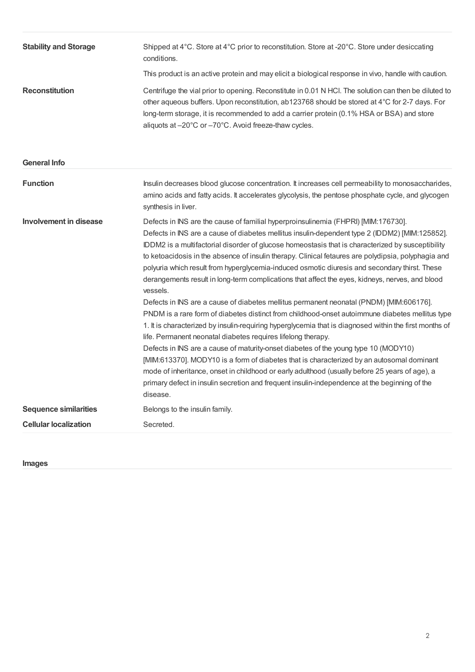| <b>Stability and Storage</b>  | Shipped at 4°C. Store at 4°C prior to reconstitution. Store at -20°C. Store under desiccating<br>conditions.<br>This product is an active protein and may elicit a biological response in vivo, handle with caution.                                                                                                                                                                                                                                                                                                                                                                                                                                                                                                                                                                                                                                                                                                                                                                                                                                                                                                                                                                                                                                                                                                                                                                        |
|-------------------------------|---------------------------------------------------------------------------------------------------------------------------------------------------------------------------------------------------------------------------------------------------------------------------------------------------------------------------------------------------------------------------------------------------------------------------------------------------------------------------------------------------------------------------------------------------------------------------------------------------------------------------------------------------------------------------------------------------------------------------------------------------------------------------------------------------------------------------------------------------------------------------------------------------------------------------------------------------------------------------------------------------------------------------------------------------------------------------------------------------------------------------------------------------------------------------------------------------------------------------------------------------------------------------------------------------------------------------------------------------------------------------------------------|
| <b>Reconstitution</b>         | Centrifuge the vial prior to opening. Reconstitute in 0.01 N HCl. The solution can then be diluted to<br>other aqueous buffers. Upon reconstitution, ab123768 should be stored at 4°C for 2-7 days. For<br>long-term storage, it is recommended to add a carrier protein (0.1% HSA or BSA) and store<br>aliquots at -20°C or -70°C. Avoid freeze-thaw cycles.                                                                                                                                                                                                                                                                                                                                                                                                                                                                                                                                                                                                                                                                                                                                                                                                                                                                                                                                                                                                                               |
| <b>General Info</b>           |                                                                                                                                                                                                                                                                                                                                                                                                                                                                                                                                                                                                                                                                                                                                                                                                                                                                                                                                                                                                                                                                                                                                                                                                                                                                                                                                                                                             |
| <b>Function</b>               | Insulin decreases blood glucose concentration. It increases cell permeability to monosaccharides,<br>amino acids and fatty acids. It accelerates glycolysis, the pentose phosphate cycle, and glycogen<br>synthesis in liver.                                                                                                                                                                                                                                                                                                                                                                                                                                                                                                                                                                                                                                                                                                                                                                                                                                                                                                                                                                                                                                                                                                                                                               |
| <b>Involvement in disease</b> | Defects in INS are the cause of familial hyperproinsulinemia (FHPRI) [MIM:176730].<br>Defects in INS are a cause of diabetes mellitus insulin-dependent type 2 (IDDM2) [MIM:125852].<br>IDDM2 is a multifactorial disorder of glucose homeostasis that is characterized by susceptibility<br>to ketoacidosis in the absence of insulin therapy. Clinical fetaures are polydipsia, polyphagia and<br>polyuria which result from hyperglycemia-induced osmotic diuresis and secondary thirst. These<br>derangements result in long-term complications that affect the eyes, kidneys, nerves, and blood<br>vessels.<br>Defects in INS are a cause of diabetes mellitus permanent neonatal (PNDM) [MIM:606176].<br>PNDM is a rare form of diabetes distinct from childhood-onset autoimmune diabetes mellitus type<br>1. It is characterized by insulin-requiring hyperglycemia that is diagnosed within the first months of<br>life. Permanent neonatal diabetes requires lifelong therapy.<br>Defects in INS are a cause of maturity-onset diabetes of the young type 10 (MODY10)<br>[MIM:613370]. MODY10 is a form of diabetes that is characterized by an autosomal dominant<br>mode of inheritance, onset in childhood or early adulthood (usually before 25 years of age), a<br>primary defect in insulin secretion and frequent insulin-independence at the beginning of the<br>disease. |
| <b>Sequence similarities</b>  | Belongs to the insulin family.                                                                                                                                                                                                                                                                                                                                                                                                                                                                                                                                                                                                                                                                                                                                                                                                                                                                                                                                                                                                                                                                                                                                                                                                                                                                                                                                                              |
| <b>Cellular localization</b>  | Secreted.                                                                                                                                                                                                                                                                                                                                                                                                                                                                                                                                                                                                                                                                                                                                                                                                                                                                                                                                                                                                                                                                                                                                                                                                                                                                                                                                                                                   |

**Images**